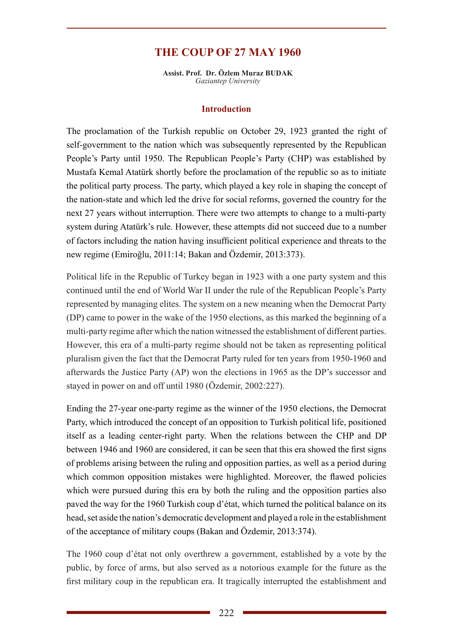# **THE COUP OF 27 MAY 1960**

**Assist. Prof. Dr. Özlem Muraz BUDAK** *Gaziantep University*

#### **Introduction**

The proclamation of the Turkish republic on October 29, 1923 granted the right of self-government to the nation which was subsequently represented by the Republican People's Party until 1950. The Republican People's Party (CHP) was established by Mustafa Kemal Atatürk shortly before the proclamation of the republic so as to initiate the political party process. The party, which played a key role in shaping the concept of the nation-state and which led the drive for social reforms, governed the country for the next 27 years without interruption. There were two attempts to change to a multi-party system during Atatürk's rule. However, these attempts did not succeed due to a number of factors including the nation having insufficient political experience and threats to the new regime (Emiroğlu, 2011:14; Bakan and Özdemir, 2013:373).

Political life in the Republic of Turkey began in 1923 with a one party system and this continued until the end of World War II under the rule of the Republican People's Party represented by managing elites. The system on a new meaning when the Democrat Party (DP) came to power in the wake of the 1950 elections, as this marked the beginning of a multi-party regime after which the nation witnessed the establishment of different parties. However, this era of a multi-party regime should not be taken as representing political pluralism given the fact that the Democrat Party ruled for ten years from 1950-1960 and afterwards the Justice Party (AP) won the elections in 1965 as the DP's successor and stayed in power on and off until 1980 (Özdemir, 2002:227).

Ending the 27-year one-party regime as the winner of the 1950 elections, the Democrat Party, which introduced the concept of an opposition to Turkish political life, positioned itself as a leading center-right party. When the relations between the CHP and DP between 1946 and 1960 are considered, it can be seen that this era showed the first signs of problems arising between the ruling and opposition parties, as well as a period during which common opposition mistakes were highlighted. Moreover, the flawed policies which were pursued during this era by both the ruling and the opposition parties also paved the way for the 1960 Turkish coup d'état, which turned the political balance on its head, set aside the nation's democratic development and played a role in the establishment of the acceptance of military coups (Bakan and Özdemir, 2013:374).

The 1960 coup d'état not only overthrew a government, established by a vote by the public, by force of arms, but also served as a notorious example for the future as the first military coup in the republican era. It tragically interrupted the establishment and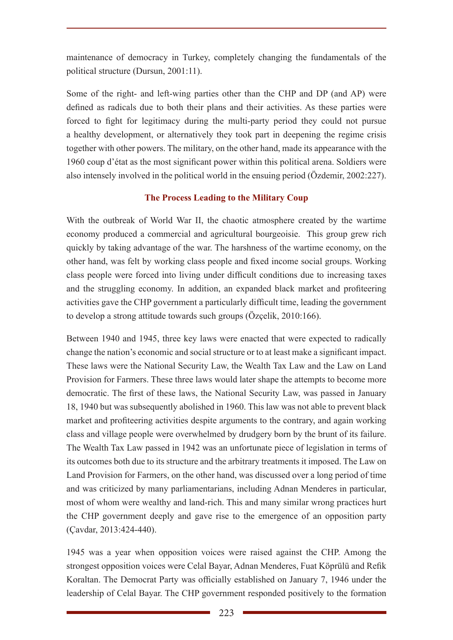maintenance of democracy in Turkey, completely changing the fundamentals of the political structure (Dursun, 2001:11).

Some of the right- and left-wing parties other than the CHP and DP (and AP) were defined as radicals due to both their plans and their activities. As these parties were forced to fight for legitimacy during the multi-party period they could not pursue a healthy development, or alternatively they took part in deepening the regime crisis together with other powers. The military, on the other hand, made its appearance with the 1960 coup d'état as the most significant power within this political arena. Soldiers were also intensely involved in the political world in the ensuing period (Özdemir, 2002:227).

## **The Process Leading to the Military Coup**

With the outbreak of World War II, the chaotic atmosphere created by the wartime economy produced a commercial and agricultural bourgeoisie. This group grew rich quickly by taking advantage of the war. The harshness of the wartime economy, on the other hand, was felt by working class people and fixed income social groups. Working class people were forced into living under difficult conditions due to increasing taxes and the struggling economy. In addition, an expanded black market and profiteering activities gave the CHP government a particularly difficult time, leading the government to develop a strong attitude towards such groups (Özçelik, 2010:166).

Between 1940 and 1945, three key laws were enacted that were expected to radically change the nation's economic and social structure or to at least make a significant impact. These laws were the National Security Law, the Wealth Tax Law and the Law on Land Provision for Farmers. These three laws would later shape the attempts to become more democratic. The first of these laws, the National Security Law, was passed in January 18, 1940 but was subsequently abolished in 1960. This law was not able to prevent black market and profiteering activities despite arguments to the contrary, and again working class and village people were overwhelmed by drudgery born by the brunt of its failure. The Wealth Tax Law passed in 1942 was an unfortunate piece of legislation in terms of its outcomes both due to its structure and the arbitrary treatments it imposed. The Law on Land Provision for Farmers, on the other hand, was discussed over a long period of time and was criticized by many parliamentarians, including Adnan Menderes in particular, most of whom were wealthy and land-rich. This and many similar wrong practices hurt the CHP government deeply and gave rise to the emergence of an opposition party (Çavdar, 2013:424-440).

1945 was a year when opposition voices were raised against the CHP. Among the strongest opposition voices were Celal Bayar, Adnan Menderes, Fuat Köprülü and Refik Koraltan. The Democrat Party was officially established on January 7, 1946 under the leadership of Celal Bayar. The CHP government responded positively to the formation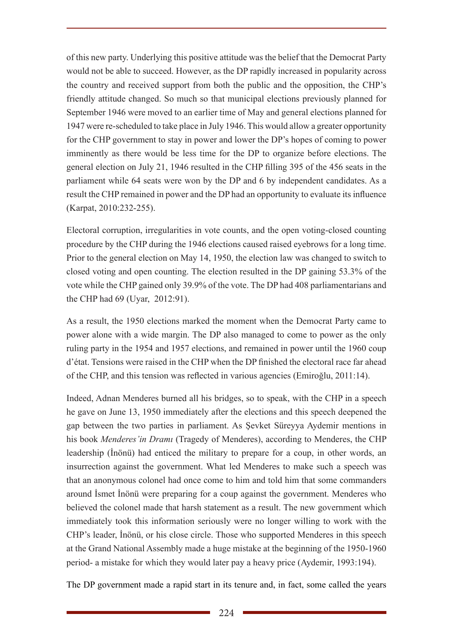of this new party. Underlying this positive attitude was the belief that the Democrat Party would not be able to succeed. However, as the DP rapidly increased in popularity across the country and received support from both the public and the opposition, the CHP's friendly attitude changed. So much so that municipal elections previously planned for September 1946 were moved to an earlier time of May and general elections planned for 1947 were re-scheduled to take place in July 1946. This would allow a greater opportunity for the CHP government to stay in power and lower the DP's hopes of coming to power imminently as there would be less time for the DP to organize before elections. The general election on July 21, 1946 resulted in the CHP filling 395 of the 456 seats in the parliament while 64 seats were won by the DP and 6 by independent candidates. As a result the CHP remained in power and the DP had an opportunity to evaluate its influence (Karpat, 2010:232-255).

Electoral corruption, irregularities in vote counts, and the open voting-closed counting procedure by the CHP during the 1946 elections caused raised eyebrows for a long time. Prior to the general election on May 14, 1950, the election law was changed to switch to closed voting and open counting. The election resulted in the DP gaining 53.3% of the vote while the CHP gained only 39.9% of the vote. The DP had 408 parliamentarians and the CHP had 69 (Uyar, 2012:91).

As a result, the 1950 elections marked the moment when the Democrat Party came to power alone with a wide margin. The DP also managed to come to power as the only ruling party in the 1954 and 1957 elections, and remained in power until the 1960 coup d'état. Tensions were raised in the CHP when the DP finished the electoral race far ahead of the CHP, and this tension was reflected in various agencies (Emiroğlu, 2011:14).

Indeed, Adnan Menderes burned all his bridges, so to speak, with the CHP in a speech he gave on June 13, 1950 immediately after the elections and this speech deepened the gap between the two parties in parliament. As Şevket Süreyya Aydemir mentions in his book *Menderes'in Dramı* (Tragedy of Menderes), according to Menderes, the CHP leadership (İnönü) had enticed the military to prepare for a coup, in other words, an insurrection against the government. What led Menderes to make such a speech was that an anonymous colonel had once come to him and told him that some commanders around İsmet İnönü were preparing for a coup against the government. Menderes who believed the colonel made that harsh statement as a result. The new government which immediately took this information seriously were no longer willing to work with the CHP's leader, İnönü, or his close circle. Those who supported Menderes in this speech at the Grand National Assembly made a huge mistake at the beginning of the 1950-1960 period- a mistake for which they would later pay a heavy price (Aydemir, 1993:194).

The DP government made a rapid start in its tenure and, in fact, some called the years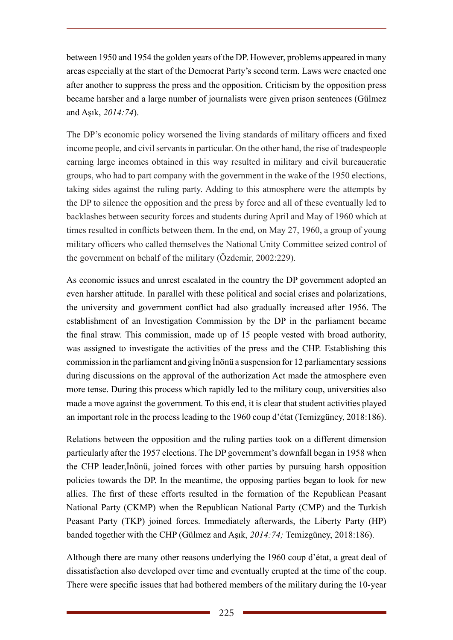between 1950 and 1954 the golden years of the DP. However, problems appeared in many areas especially at the start of the Democrat Party's second term. Laws were enacted one after another to suppress the press and the opposition. Criticism by the opposition press became harsher and a large number of journalists were given prison sentences (Gülmez and Aşık, *2014:74*).

The DP's economic policy worsened the living standards of military officers and fixed income people, and civil servants in particular. On the other hand, the rise of tradespeople earning large incomes obtained in this way resulted in military and civil bureaucratic groups, who had to part company with the government in the wake of the 1950 elections, taking sides against the ruling party. Adding to this atmosphere were the attempts by the DP to silence the opposition and the press by force and all of these eventually led to backlashes between security forces and students during April and May of 1960 which at times resulted in conflicts between them. In the end, on May 27, 1960, a group of young military officers who called themselves the National Unity Committee seized control of the government on behalf of the military (Özdemir, 2002:229).

As economic issues and unrest escalated in the country the DP government adopted an even harsher attitude. In parallel with these political and social crises and polarizations, the university and government conflict had also gradually increased after 1956. The establishment of an Investigation Commission by the DP in the parliament became the final straw. This commission, made up of 15 people vested with broad authority, was assigned to investigate the activities of the press and the CHP. Establishing this commission in the parliament and giving İnönü a suspension for 12 parliamentary sessions during discussions on the approval of the authorization Act made the atmosphere even more tense. During this process which rapidly led to the military coup, universities also made a move against the government. To this end, it is clear that student activities played an important role in the process leading to the 1960 coup d'état (Temizgüney, 2018:186).

Relations between the opposition and the ruling parties took on a different dimension particularly after the 1957 elections. The DP government's downfall began in 1958 when the CHP leader,İnönü, joined forces with other parties by pursuing harsh opposition policies towards the DP. In the meantime, the opposing parties began to look for new allies. The first of these efforts resulted in the formation of the Republican Peasant National Party (CKMP) when the Republican National Party (CMP) and the Turkish Peasant Party (TKP) joined forces. Immediately afterwards, the Liberty Party (HP) banded together with the CHP (Gülmez and Aşık, *2014:74;* Temizgüney, 2018:186).

Although there are many other reasons underlying the 1960 coup d'état, a great deal of dissatisfaction also developed over time and eventually erupted at the time of the coup. There were specific issues that had bothered members of the military during the 10-year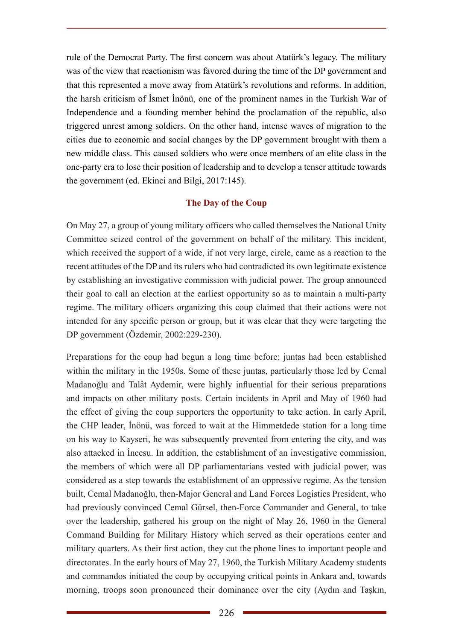rule of the Democrat Party. The first concern was about Atatürk's legacy. The military was of the view that reactionism was favored during the time of the DP government and that this represented a move away from Atatürk's revolutions and reforms. In addition, the harsh criticism of İsmet İnönü, one of the prominent names in the Turkish War of Independence and a founding member behind the proclamation of the republic, also triggered unrest among soldiers. On the other hand, intense waves of migration to the cities due to economic and social changes by the DP government brought with them a new middle class. This caused soldiers who were once members of an elite class in the one-party era to lose their position of leadership and to develop a tenser attitude towards the government (ed. Ekinci and Bilgi, 2017:145).

## **The Day of the Coup**

On May 27, a group of young military officers who called themselves the National Unity Committee seized control of the government on behalf of the military. This incident, which received the support of a wide, if not very large, circle, came as a reaction to the recent attitudes of the DP and its rulers who had contradicted its own legitimate existence by establishing an investigative commission with judicial power. The group announced their goal to call an election at the earliest opportunity so as to maintain a multi-party regime. The military officers organizing this coup claimed that their actions were not intended for any specific person or group, but it was clear that they were targeting the DP government (Özdemir, 2002:229-230).

Preparations for the coup had begun a long time before; juntas had been established within the military in the 1950s. Some of these juntas, particularly those led by Cemal Madanoğlu and Talât Aydemir, were highly influential for their serious preparations and impacts on other military posts. Certain incidents in April and May of 1960 had the effect of giving the coup supporters the opportunity to take action. In early April, the CHP leader, İnönü, was forced to wait at the Himmetdede station for a long time on his way to Kayseri, he was subsequently prevented from entering the city, and was also attacked in İncesu. In addition, the establishment of an investigative commission, the members of which were all DP parliamentarians vested with judicial power, was considered as a step towards the establishment of an oppressive regime. As the tension built, Cemal Madanoğlu, then-Major General and Land Forces Logistics President, who had previously convinced Cemal Gürsel, then-Force Commander and General, to take over the leadership, gathered his group on the night of May 26, 1960 in the General Command Building for Military History which served as their operations center and military quarters. As their first action, they cut the phone lines to important people and directorates. In the early hours of May 27, 1960, the Turkish Military Academy students and commandos initiated the coup by occupying critical points in Ankara and, towards morning, troops soon pronounced their dominance over the city (Aydın and Taşkın,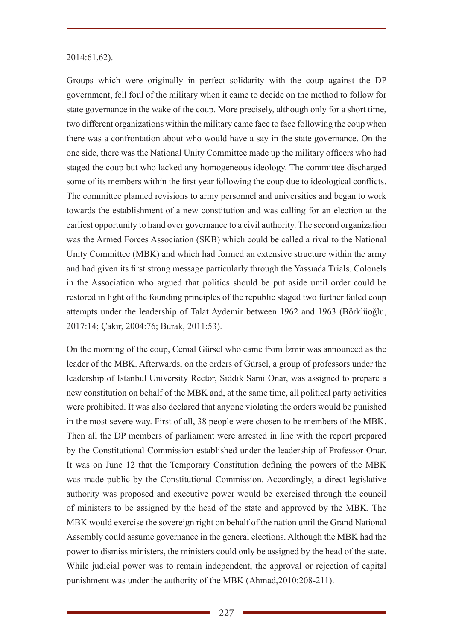#### 2014:61,62).

Groups which were originally in perfect solidarity with the coup against the DP government, fell foul of the military when it came to decide on the method to follow for state governance in the wake of the coup. More precisely, although only for a short time, two different organizations within the military came face to face following the coup when there was a confrontation about who would have a say in the state governance. On the one side, there was the National Unity Committee made up the military officers who had staged the coup but who lacked any homogeneous ideology. The committee discharged some of its members within the first year following the coup due to ideological conflicts. The committee planned revisions to army personnel and universities and began to work towards the establishment of a new constitution and was calling for an election at the earliest opportunity to hand over governance to a civil authority. The second organization was the Armed Forces Association (SKB) which could be called a rival to the National Unity Committee (MBK) and which had formed an extensive structure within the army and had given its first strong message particularly through the Yassıada Trials. Colonels in the Association who argued that politics should be put aside until order could be restored in light of the founding principles of the republic staged two further failed coup attempts under the leadership of Talat Aydemir between 1962 and 1963 (Börklüoğlu, 2017:14; Çakır, 2004:76; Burak, 2011:53).

On the morning of the coup, Cemal Gürsel who came from İzmir was announced as the leader of the MBK. Afterwards, on the orders of Gürsel, a group of professors under the leadership of Istanbul University Rector, Sıddık Sami Onar, was assigned to prepare a new constitution on behalf of the MBK and, at the same time, all political party activities were prohibited. It was also declared that anyone violating the orders would be punished in the most severe way. First of all, 38 people were chosen to be members of the MBK. Then all the DP members of parliament were arrested in line with the report prepared by the Constitutional Commission established under the leadership of Professor Onar. It was on June 12 that the Temporary Constitution defining the powers of the MBK was made public by the Constitutional Commission. Accordingly, a direct legislative authority was proposed and executive power would be exercised through the council of ministers to be assigned by the head of the state and approved by the MBK. The MBK would exercise the sovereign right on behalf of the nation until the Grand National Assembly could assume governance in the general elections. Although the MBK had the power to dismiss ministers, the ministers could only be assigned by the head of the state. While judicial power was to remain independent, the approval or rejection of capital punishment was under the authority of the MBK (Ahmad,2010:208-211).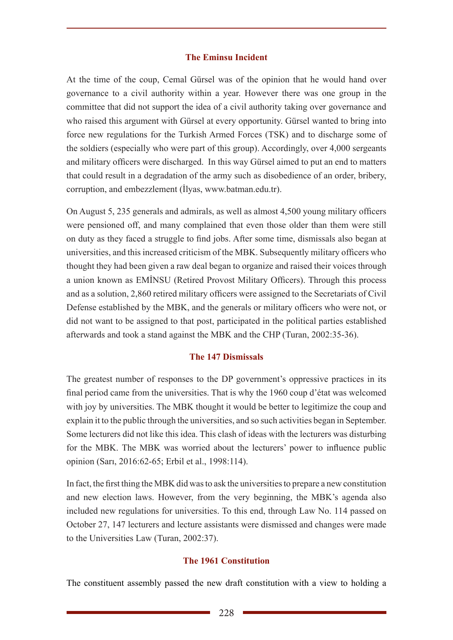#### **The Eminsu Incident**

At the time of the coup, Cemal Gürsel was of the opinion that he would hand over governance to a civil authority within a year. However there was one group in the committee that did not support the idea of a civil authority taking over governance and who raised this argument with Gürsel at every opportunity. Gürsel wanted to bring into force new regulations for the Turkish Armed Forces (TSK) and to discharge some of the soldiers (especially who were part of this group). Accordingly, over 4,000 sergeants and military officers were discharged. In this way Gürsel aimed to put an end to matters that could result in a degradation of the army such as disobedience of an order, bribery, corruption, and embezzlement (İlyas, www.batman.edu.tr).

On August 5, 235 generals and admirals, as well as almost 4,500 young military officers were pensioned off, and many complained that even those older than them were still on duty as they faced a struggle to find jobs. After some time, dismissals also began at universities, and this increased criticism of the MBK. Subsequently military officers who thought they had been given a raw deal began to organize and raised their voices through a union known as EMİNSU (Retired Provost Military Officers). Through this process and as a solution, 2,860 retired military officers were assigned to the Secretariats of Civil Defense established by the MBK, and the generals or military officers who were not, or did not want to be assigned to that post, participated in the political parties established afterwards and took a stand against the MBK and the CHP (Turan, 2002:35-36).

#### **The 147 Dismissals**

The greatest number of responses to the DP government's oppressive practices in its final period came from the universities. That is why the 1960 coup d'état was welcomed with joy by universities. The MBK thought it would be better to legitimize the coup and explain it to the public through the universities, and so such activities began in September. Some lecturers did not like this idea. This clash of ideas with the lecturers was disturbing for the MBK. The MBK was worried about the lecturers' power to influence public opinion (Sarı, 2016:62-65; Erbil et al., 1998:114).

In fact, the first thing the MBK did was to ask the universities to prepare a new constitution and new election laws. However, from the very beginning, the MBK's agenda also included new regulations for universities. To this end, through Law No. 114 passed on October 27, 147 lecturers and lecture assistants were dismissed and changes were made to the Universities Law (Turan, 2002:37).

#### **The 1961 Constitution**

The constituent assembly passed the new draft constitution with a view to holding a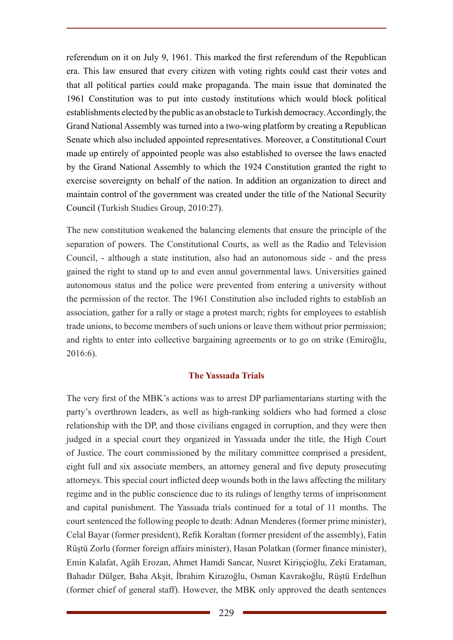referendum on it on July 9, 1961. This marked the first referendum of the Republican era. This law ensured that every citizen with voting rights could cast their votes and that all political parties could make propaganda. The main issue that dominated the 1961 Constitution was to put into custody institutions which would block political establishments elected by the public as an obstacle to Turkish democracy. Accordingly, the Grand National Assembly was turned into a two-wing platform by creating a Republican Senate which also included appointed representatives. Moreover, a Constitutional Court made up entirely of appointed people was also established to oversee the laws enacted by the Grand National Assembly to which the 1924 Constitution granted the right to exercise sovereignty on behalf of the nation. In addition an organization to direct and maintain control of the government was created under the title of the National Security Council (Turkish Studies Group, 2010:27).

The new constitution weakened the balancing elements that ensure the principle of the separation of powers. The Constitutional Courts, as well as the Radio and Television Council, - although a state institution, also had an autonomous side - and the press gained the right to stand up to and even annul governmental laws. Universities gained autonomous status and the police were prevented from entering a university without the permission of the rector. The 1961 Constitution also included rights to establish an association, gather for a rally or stage a protest march; rights for employees to establish trade unions, to become members of such unions or leave them without prior permission; and rights to enter into collective bargaining agreements or to go on strike (Emiroğlu, 2016:6).

### **The Yassıada Trials**

The very first of the MBK's actions was to arrest DP parliamentarians starting with the party's overthrown leaders, as well as high-ranking soldiers who had formed a close relationship with the DP, and those civilians engaged in corruption, and they were then judged in a special court they organized in Yassıada under the title, the High Court of Justice. The court commissioned by the military committee comprised a president, eight full and six associate members, an attorney general and five deputy prosecuting attorneys. This special court inflicted deep wounds both in the laws affecting the military regime and in the public conscience due to its rulings of lengthy terms of imprisonment and capital punishment. The Yassıada trials continued for a total of 11 months. The court sentenced the following people to death: Adnan Menderes (former prime minister), Celal Bayar (former president), Refik Koraltan (former president of the assembly), Fatin Rüştü Zorlu (former foreign affairs minister), Hasan Polatkan (former finance minister), Emin Kalafat, Agâh Erozan, Ahmet Hamdi Sancar, Nusret Kirişçioğlu, Zeki Erataman, Bahadır Dülger, Baha Akşit, İbrahim Kirazoğlu, Osman Kavrakoğlu, Rüştü Erdelhun (former chief of general staff). However, the MBK only approved the death sentences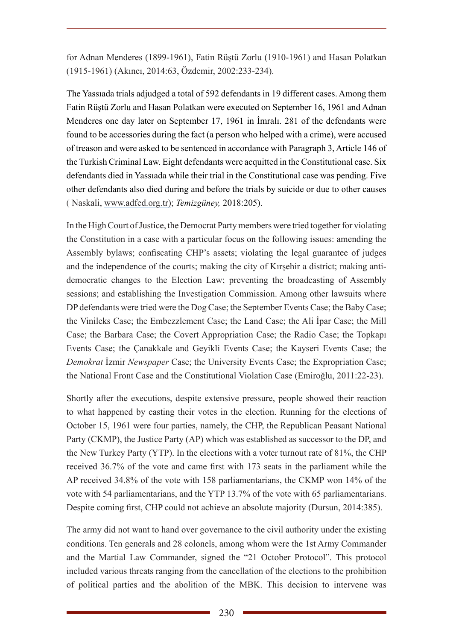for Adnan Menderes (1899-1961), Fatin Rüştü Zorlu (1910-1961) and Hasan Polatkan (1915-1961) (Akıncı, 2014:63, Özdemir, 2002:233-234).

The Yassıada trials adjudged a total of 592 defendants in 19 different cases. Among them Fatin Rüştü Zorlu and Hasan Polatkan were executed on September 16, 1961 and Adnan Menderes one day later on September 17, 1961 in İmralı. 281 of the defendants were found to be accessories during the fact (a person who helped with a crime), were accused of treason and were asked to be sentenced in accordance with Paragraph 3, Article 146 of the Turkish Criminal Law. Eight defendants were acquitted in the Constitutional case. Six defendants died in Yassıada while their trial in the Constitutional case was pending. Five other defendants also died during and before the trials by suicide or due to other causes ( Naskali, www.adfed.org.tr); *Temizgüney,* 2018:205).

In the High Court of Justice, the Democrat Party members were tried together for violating the Constitution in a case with a particular focus on the following issues: amending the Assembly bylaws; confiscating CHP's assets; violating the legal guarantee of judges and the independence of the courts; making the city of Kırşehir a district; making antidemocratic changes to the Election Law; preventing the broadcasting of Assembly sessions; and establishing the Investigation Commission. Among other lawsuits where DP defendants were tried were the Dog Case; the September Events Case; the Baby Case; the Vinileks Case; the Embezzlement Case; the Land Case; the Ali İpar Case; the Mill Case; the Barbara Case; the Covert Appropriation Case; the Radio Case; the Topkapı Events Case; the Çanakkale and Geyikli Events Case; the Kayseri Events Case; the *Demokrat* İzmir *Newspaper* Case; the University Events Case; the Expropriation Case; the National Front Case and the Constitutional Violation Case (Emiroğlu, 2011:22-23).

Shortly after the executions, despite extensive pressure, people showed their reaction to what happened by casting their votes in the election. Running for the elections of October 15, 1961 were four parties, namely, the CHP, the Republican Peasant National Party (CKMP), the Justice Party (AP) which was established as successor to the DP, and the New Turkey Party (YTP). In the elections with a voter turnout rate of 81%, the CHP received 36.7% of the vote and came first with 173 seats in the parliament while the AP received 34.8% of the vote with 158 parliamentarians, the CKMP won 14% of the vote with 54 parliamentarians, and the YTP 13.7% of the vote with 65 parliamentarians. Despite coming first, CHP could not achieve an absolute majority (Dursun, 2014:385).

The army did not want to hand over governance to the civil authority under the existing conditions. Ten generals and 28 colonels, among whom were the 1st Army Commander and the Martial Law Commander, signed the "21 October Protocol". This protocol included various threats ranging from the cancellation of the elections to the prohibition of political parties and the abolition of the MBK. This decision to intervene was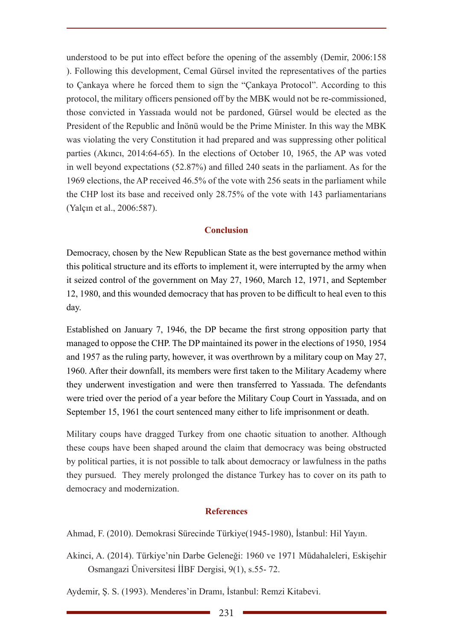understood to be put into effect before the opening of the assembly (Demir, 2006:158 ). Following this development, Cemal Gürsel invited the representatives of the parties to Çankaya where he forced them to sign the "Çankaya Protocol". According to this protocol, the military officers pensioned off by the MBK would not be re-commissioned, those convicted in Yassıada would not be pardoned, Gürsel would be elected as the President of the Republic and İnönü would be the Prime Minister. In this way the MBK was violating the very Constitution it had prepared and was suppressing other political parties (Akıncı, 2014:64-65). In the elections of October 10, 1965, the AP was voted in well beyond expectations (52.87%) and filled 240 seats in the parliament. As for the 1969 elections, the AP received 46.5% of the vote with 256 seats in the parliament while the CHP lost its base and received only 28.75% of the vote with 143 parliamentarians (Yalçın et al., 2006:587).

#### **Conclusion**

Democracy, chosen by the New Republican State as the best governance method within this political structure and its efforts to implement it, were interrupted by the army when it seized control of the government on May 27, 1960, March 12, 1971, and September 12, 1980, and this wounded democracy that has proven to be difficult to heal even to this day.

Established on January 7, 1946, the DP became the first strong opposition party that managed to oppose the CHP. The DP maintained its power in the elections of 1950, 1954 and 1957 as the ruling party, however, it was overthrown by a military coup on May 27, 1960. After their downfall, its members were first taken to the Military Academy where they underwent investigation and were then transferred to Yassıada. The defendants were tried over the period of a year before the Military Coup Court in Yassıada, and on September 15, 1961 the court sentenced many either to life imprisonment or death.

Military coups have dragged Turkey from one chaotic situation to another. Although these coups have been shaped around the claim that democracy was being obstructed by political parties, it is not possible to talk about democracy or lawfulness in the paths they pursued. They merely prolonged the distance Turkey has to cover on its path to democracy and modernization.

#### **References**

Ahmad, F. (2010). Demokrasi Sürecinde Türkiye(1945-1980), İstanbul: Hil Yayın.

Akinci, A. (2014). Türkiye'nin Darbe Geleneği: 1960 ve 1971 Müdahaleleri, Eskişehir Osmangazi Üniversitesi İİBF Dergisi, 9(1), s.55- 72.

Aydemir, Ş. S. (1993). Menderes'in Dramı, İstanbul: Remzi Kitabevi.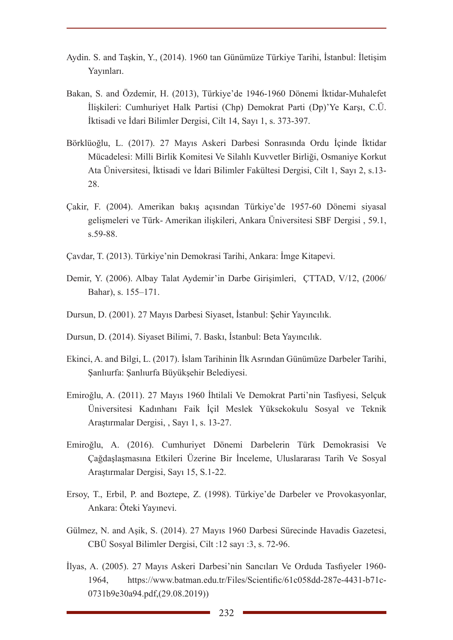- Aydin. S. and Taşkin, Y., (2014). 1960 tan Günümüze Türkiye Tarihi, İstanbul: İletişim Yayınları.
- Bakan, S. and Özdemir, H. (2013), Türkiye'de 1946-1960 Dönemi İktidar-Muhalefet İlişkileri: Cumhuriyet Halk Partisi (Chp) Demokrat Parti (Dp)'Ye Karşı, C.Ü. İktisadi ve İdari Bilimler Dergisi, Cilt 14, Sayı 1, s. 373-397.
- Börklüoğlu, L. (2017). 27 Mayıs Askeri Darbesi Sonrasında Ordu İçinde İktidar Mücadelesi: Milli Birlik Komitesi Ve Silahlı Kuvvetler Birliği, Osmaniye Korkut Ata Üniversitesi, İktisadi ve İdari Bilimler Fakültesi Dergisi, Cilt 1, Sayı 2, s.13- 28.
- Çakir, F. (2004). Amerikan bakış açısından Türkiye'de 1957-60 Dönemi siyasal gelişmeleri ve Türk- Amerikan ilişkileri, Ankara Üniversitesi SBF Dergisi , 59.1, s.59-88.
- Çavdar, T. (2013). Türkiye'nin Demokrasi Tarihi, Ankara: İmge Kitapevi.
- Demir, Y. (2006). Albay Talat Aydemir'in Darbe Girişimleri, ÇTTAD, V/12, (2006/ Bahar), s. 155–171.
- Dursun, D. (2001). 27 Mayıs Darbesi Siyaset, İstanbul: Şehir Yayıncılık.
- Dursun, D. (2014). Siyaset Bilimi, 7. Baskı, İstanbul: Beta Yayıncılık.
- Ekinci, A. and Bilgi, L. (2017). İslam Tarihinin İlk Asrından Günümüze Darbeler Tarihi, Şanlıurfa: Şanlıurfa Büyükşehir Belediyesi.
- Emiroğlu, A. (2011). 27 Mayıs 1960 İhtilali Ve Demokrat Parti'nin Tasfiyesi, Selçuk Üniversitesi Kadınhanı Faik İçil Meslek Yüksekokulu Sosyal ve Teknik Araştırmalar Dergisi, , Sayı 1, s. 13-27.
- Emiroğlu, A. (2016). Cumhuriyet Dönemi Darbelerin Türk Demokrasisi Ve Çağdaşlaşmasına Etkileri Üzerine Bir İnceleme, Uluslararası Tarih Ve Sosyal Araştırmalar Dergisi, Sayı 15, S.1-22.
- Ersoy, T., Erbil, P. and Boztepe, Z. (1998). Türkiye'de Darbeler ve Provokasyonlar, Ankara: Öteki Yayınevi.
- Gülmez, N. and Aşik, S. (2014). 27 Mayıs 1960 Darbesi Sürecinde Havadis Gazetesi, CBÜ Sosyal Bilimler Dergisi, Cilt :12 sayı :3, s. 72-96.
- İlyas, A. (2005). 27 Mayıs Askeri Darbesi'nin Sancıları Ve Orduda Tasfiyeler 1960- 1964, https://www.batman.edu.tr/Files/Scientific/61c058dd-287e-4431-b71c-0731b9e30a94.pdf,(29.08.2019))